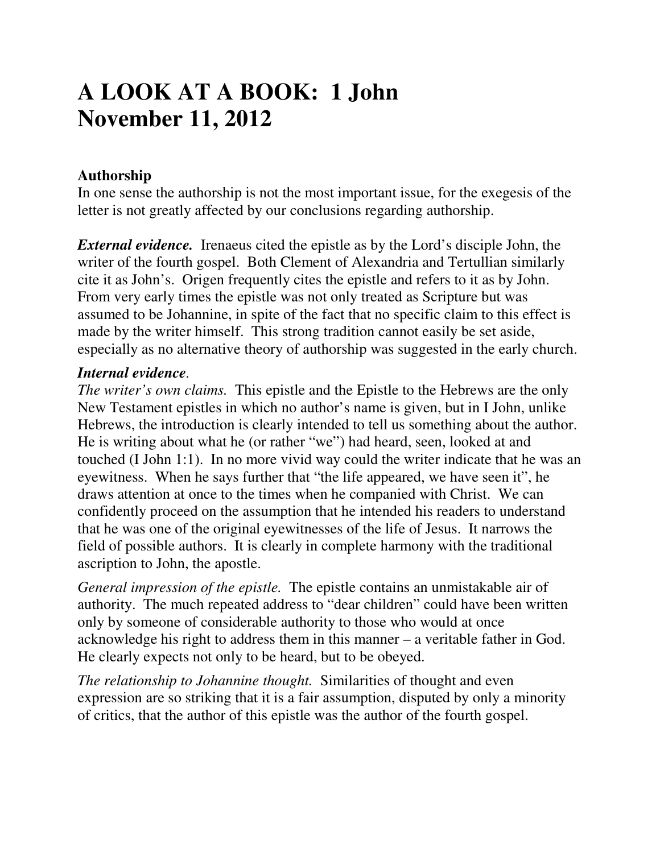# **A LOOK AT A BOOK: 1 John November 11, 2012**

# **Authorship**

In one sense the authorship is not the most important issue, for the exegesis of the letter is not greatly affected by our conclusions regarding authorship.

*External evidence.* Irenaeus cited the epistle as by the Lord's disciple John, the writer of the fourth gospel. Both Clement of Alexandria and Tertullian similarly cite it as John's. Origen frequently cites the epistle and refers to it as by John. From very early times the epistle was not only treated as Scripture but was assumed to be Johannine, in spite of the fact that no specific claim to this effect is made by the writer himself. This strong tradition cannot easily be set aside, especially as no alternative theory of authorship was suggested in the early church.

### *Internal evidence.*

*The writer's own claims.* This epistle and the Epistle to the Hebrews are the only New Testament epistles in which no author's name is given, but in I John, unlike Hebrews, the introduction is clearly intended to tell us something about the author. He is writing about what he (or rather "we") had heard, seen, looked at and touched (I John 1:1). In no more vivid way could the writer indicate that he was an eyewitness. When he says further that "the life appeared, we have seen it", he draws attention at once to the times when he companied with Christ. We can confidently proceed on the assumption that he intended his readers to understand that he was one of the original eyewitnesses of the life of Jesus. It narrows the field of possible authors. It is clearly in complete harmony with the traditional ascription to John, the apostle.

*General impression of the epistle.* The epistle contains an unmistakable air of authority. The much repeated address to "dear children" could have been written only by someone of considerable authority to those who would at once acknowledge his right to address them in this manner – a veritable father in God. He clearly expects not only to be heard, but to be obeyed.

*The relationship to Johannine thought.* Similarities of thought and even expression are so striking that it is a fair assumption, disputed by only a minority of critics, that the author of this epistle was the author of the fourth gospel.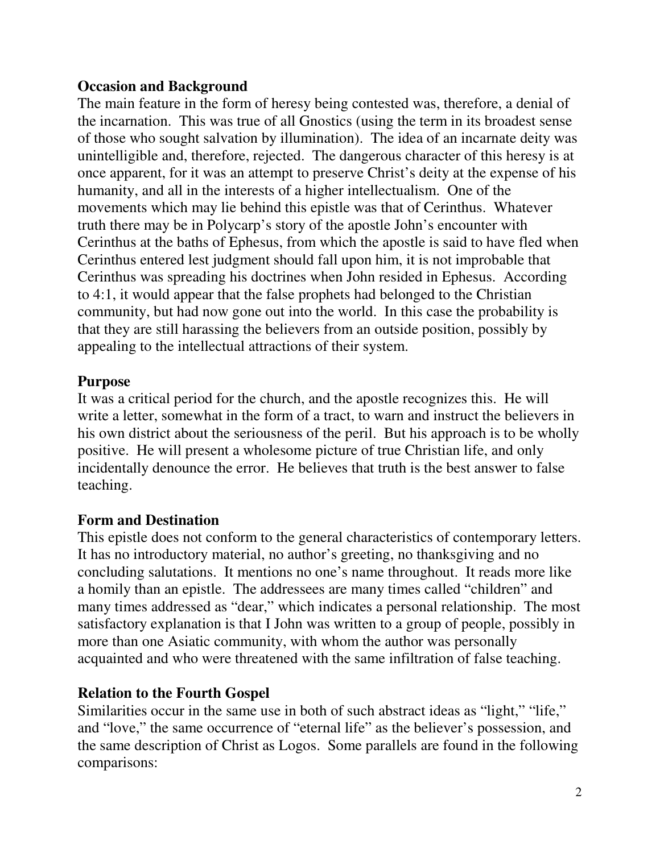## **Occasion and Background**

The main feature in the form of heresy being contested was, therefore, a denial of the incarnation. This was true of all Gnostics (using the term in its broadest sense of those who sought salvation by illumination). The idea of an incarnate deity was unintelligible and, therefore, rejected. The dangerous character of this heresy is at once apparent, for it was an attempt to preserve Christ's deity at the expense of his humanity, and all in the interests of a higher intellectualism. One of the movements which may lie behind this epistle was that of Cerinthus. Whatever truth there may be in Polycarp's story of the apostle John's encounter with Cerinthus at the baths of Ephesus, from which the apostle is said to have fled when Cerinthus entered lest judgment should fall upon him, it is not improbable that Cerinthus was spreading his doctrines when John resided in Ephesus. According to 4:1, it would appear that the false prophets had belonged to the Christian community, but had now gone out into the world. In this case the probability is that they are still harassing the believers from an outside position, possibly by appealing to the intellectual attractions of their system.

## **Purpose**

It was a critical period for the church, and the apostle recognizes this. He will write a letter, somewhat in the form of a tract, to warn and instruct the believers in his own district about the seriousness of the peril. But his approach is to be wholly positive. He will present a wholesome picture of true Christian life, and only incidentally denounce the error. He believes that truth is the best answer to false teaching.

## **Form and Destination**

This epistle does not conform to the general characteristics of contemporary letters. It has no introductory material, no author's greeting, no thanksgiving and no concluding salutations. It mentions no one's name throughout. It reads more like a homily than an epistle. The addressees are many times called "children" and many times addressed as "dear," which indicates a personal relationship. The most satisfactory explanation is that I John was written to a group of people, possibly in more than one Asiatic community, with whom the author was personally acquainted and who were threatened with the same infiltration of false teaching.

## **Relation to the Fourth Gospel**

Similarities occur in the same use in both of such abstract ideas as "light," "life," and "love," the same occurrence of "eternal life" as the believer's possession, and the same description of Christ as Logos. Some parallels are found in the following comparisons: